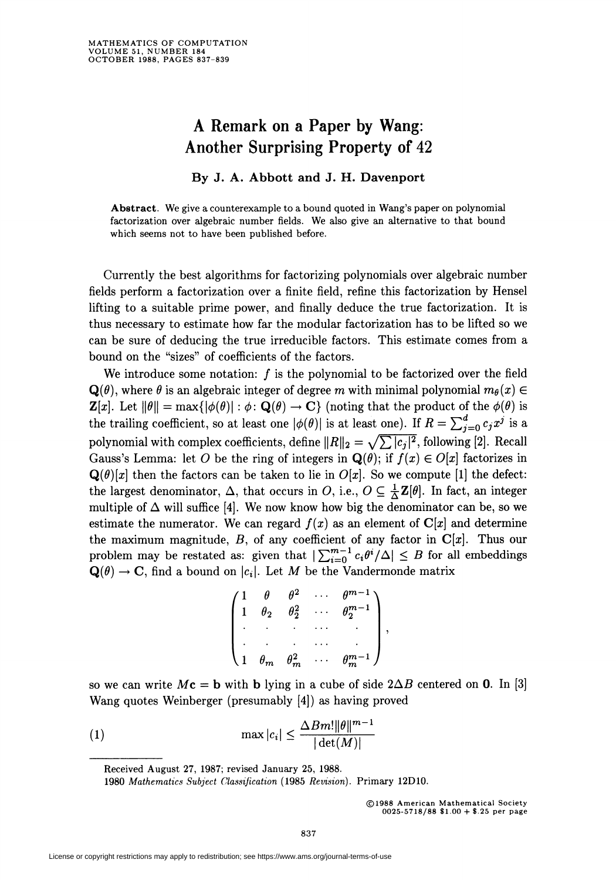## A Remark on a Paper by Wang: Another Surprising Property of 42

## By J. A. Abbott and J. H. Davenport

Abstract. We give a counterexample to a bound quoted in Wang's paper on polynomial factorization over algebraic number fields. We also give an alternative to that bound which seems not to have been published before.

Currently the best algorithms for factorizing polynomials over algebraic number fields perform a factorization over a finite field, refine this factorization by Hensel lifting to a suitable prime power, and finally deduce the true factorization. It is thus necessary to estimate how far the modular factorization has to be lifted so we can be sure of deducing the true irreducible factors. This estimate comes from a bound on the "sizes" of coefficients of the factors.

We introduce some notation:  $f$  is the polynomial to be factorized over the field  $\mathbf{Q}(\theta)$ , where  $\theta$  is an algebraic integer of degree m with minimal polynomial  $m_{\theta}(x) \in$  $\mathbf{Z}[x]$ . Let  $\|\theta\| = \max{\{|\phi(\theta)| : \phi : \mathbf{Q}(\theta) \to \mathbf{C}\}\}\$  (noting that the product of the  $\phi(\theta)$  is the trailing coefficient, so at least one  $|\phi(\theta)|$  is at least one). If  $R = \sum_{j=0}^{d} c_j x^j$  is a polynomial with complex coefficients, define  $||R||_2 = \sqrt{\sum |c_j|^2}$ , following [2]. Recall Gauss's Lemma: let O be the ring of integers in  $\mathbf{Q}(\theta)$ ; if  $f(x) \in O[x]$  factorizes in  $\mathbf{Q}(\theta)[x]$  then the factors can be taken to lie in  $O[x]$ . So we compute [1] the defect: the largest denominator,  $\Delta$ , that occurs in O, i.e.,  $O \subseteq \frac{1}{\Delta} \mathbf{Z}[\theta]$ . In fact, an integer multiple of  $\Delta$  will suffice [4]. We now know how big the denominator can be, so we estimate the numerator. We can regard  $f(x)$  as an element of  $\mathbb{C}[x]$  and determine the maximum magnitude,  $B$ , of any coefficient of any factor in  $C[x]$ . Thus our problem may be restated as: given that  $|\sum_{i=0}^{m-1} c_i \theta^i/\Delta| \leq B$  for all embeddings  $\mathbf{Q}(\theta) \rightarrow \mathbf{C}$ , find a bound on  $|c_i|$ . Let M be the Vandermonde matrix

$$
\begin{pmatrix} 1 & \theta & \theta^2 & \cdots & \theta^{m-1} \\ 1 & \theta_2 & \theta_2^2 & \cdots & \theta_2^{m-1} \\ \cdot & \cdot & \cdot & \cdots & \cdot \\ \cdot & \cdot & \cdot & \cdots & \cdot \\ 1 & \theta_m & \theta_m^2 & \cdots & \theta_m^{m-1} \end{pmatrix},
$$

so we can write  $Mc = b$  with b lying in a cube of side  $2\Delta B$  centered on 0. In [3] Wang quotes Weinberger (presumably [4]) as having proved

$$
\max|c_i| \le \frac{\Delta B m! \|\theta\|^{m-1}}{|\det(M)|}
$$

Received August 27, 1987; revised January 25, 1988.

©1988 American Mathematical Society 0025-5718/88 \$1.00 + \$.25 per page

<sup>1980</sup> Mathematics Subject Classification (1985 Revision). Primary 12D10.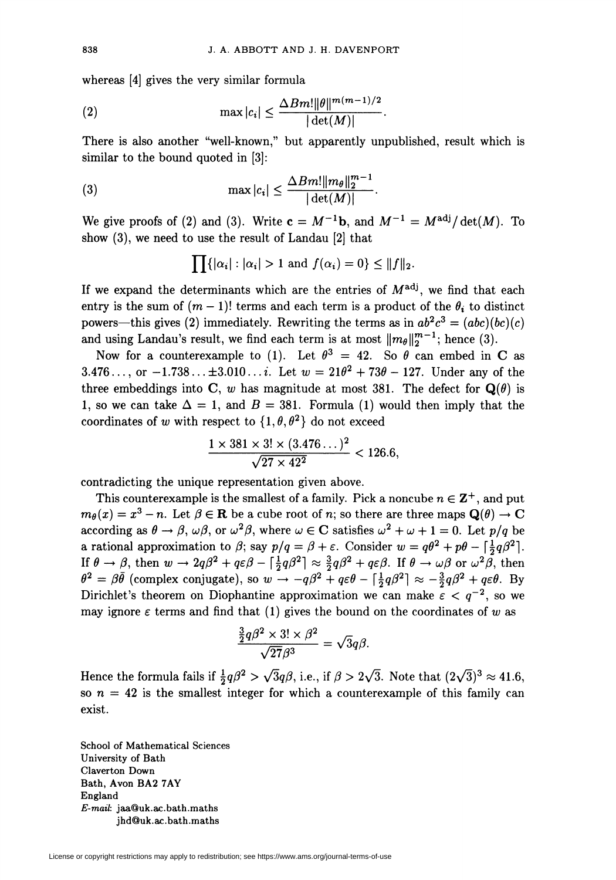whereas [4] gives the very similar formula

$$
(2) \qquad \qquad \max |c_i| \leq \frac{\Delta B m! \|\theta\|^{m(m-1)/2}}{|\det(M)|}.
$$

There is also another "well-known," but apparently unpublished, result which is similar to the bound quoted in [3]:

(3) 
$$
\max |c_i| \leq \frac{\Delta B m! ||m_\theta||_2^{m-1}}{|\det(M)|}.
$$

We give proofs of (2) and (3). Write  $c = M^{-1}b$ , and  $M^{-1} = M^{adj}/det(M)$ . To show (3), we need to use the result of Landau [2] that

$$
\prod\{|\alpha_i|: |\alpha_i|>1 \text{ and } f(\alpha_i)=0\}\leq ||f||_2.
$$

If we expand the determinants which are the entries of  $M^{adj}$ , we find that each entry is the sum of  $(m - 1)!$  terms and each term is a product of the  $\theta_i$  to distinct powers—this gives (2) immediately. Rewriting the terms as in  $ab^2c^3 = (abc)(bc)(c)$ and using Landau's result, we find each term is at most  $||m_{\theta}||_2^{m-1}$ ; hence (3).

Now for a counterexample to (1). Let  $\theta^3 = 42$ . So  $\theta$  can embed in C as 3.476..., or  $-1.738... \pm 3.010...$ *i*. Let  $w = 21\theta^2 + 73\theta - 127$ . Under any of the three embeddings into C, w has magnitude at most 381. The defect for  $Q(\theta)$  is 1, so we can take  $\Delta = 1$ , and  $B = 381$ . Formula (1) would then imply that the coordinates of w with respect to  $\{1, \theta, \theta^2\}$  do not exceed

$$
\frac{1 \times 381 \times 3! \times (3.476...)^2}{\sqrt{27 \times 42^2}} < 126.6,
$$

contradicting the unique representation given above.

This counterexample is the smallest of a family. Pick a noncube  $n \in \mathbb{Z}^+$ , and put  $m_{\theta}(x) = x^3 - n$ . Let  $\beta \in \mathbb{R}$  be a cube root of n; so there are three maps  $\mathbf{Q}(\theta) \to \mathbf{C}$ according as  $\theta \to \beta$ ,  $\omega\beta$ , or  $\omega^2\beta$ , where  $\omega \in \mathbb{C}$  satisfies  $\omega^2 + \omega + 1 = 0$ . Let  $p/q$  be a rational approximation to  $\beta$ ; say  $p/q = \beta + \varepsilon$ . Consider  $w = q\theta^2 + p\theta - \left[\frac{1}{2}q\beta^2\right]$ . If  $\theta \to \beta$ , then  $w \to 2q\beta^2 + q\varepsilon\beta - |\frac{1}{2}q\beta^2| \approx \frac{3}{2}q\beta^2 + q\varepsilon\beta$ . If  $\theta \to \omega\beta$  or  $\omega^2\beta$ , then  $\theta^2 = \beta\theta$  (complex conjugate), so  $w \to -q\beta^2 + q\epsilon\theta - \left|\frac{1}{2}q\beta^2\right| \approx -\frac{3}{2}q\beta^2 + q\epsilon\theta$ . By Dirichlet's theorem on Diophantine approximation we can make  $\varepsilon < q^{-2}$ , so we may ignore  $\varepsilon$  terms and find that (1) gives the bound on the coordinates of w as

$$
\frac{\frac{3}{2}q\beta^2 \times 3! \times \beta^2}{\sqrt{27}\beta^3} = \sqrt{3}q\beta.
$$

Hence the formula fails if  $\frac{1}{2}q\beta^2 > \sqrt{3}q\beta$ , i.e., if  $\beta > 2\sqrt{3}$ . Note that  $(2\sqrt{3})^3 \approx 41.6$ , so  $n = 42$  is the smallest integer for which a counterexample of this family can exist.

School of Mathematical Sciences University of Bath Claverton Down Bath, Avon BA2 7AY England E-mail: jaa@uk.ac.bath.maths jhd@uk.ac.bath.maths